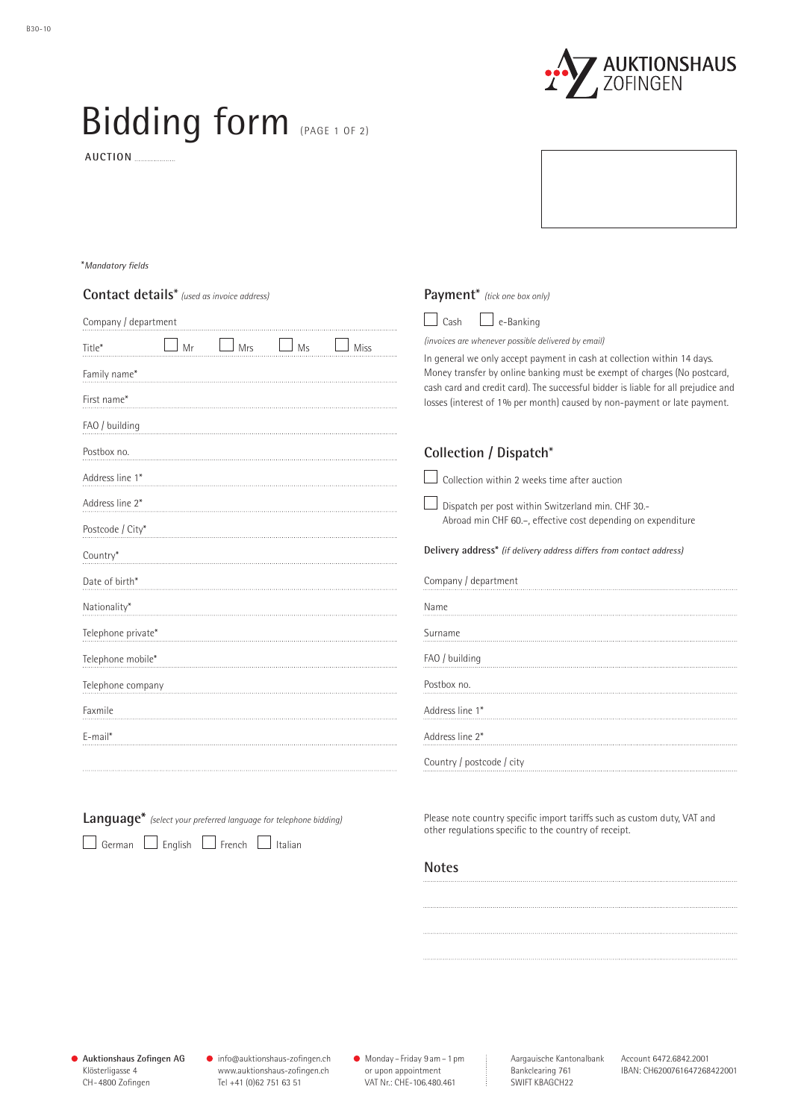

## Bidding form (PAGE 1 OF 2)

 **AUCTION** 

## \**Mandatory fields*

| <b>Contact details</b> * (used as invoice address) | Payment* (tick one box only)                                                                                                                                                                                                             |  |  |
|----------------------------------------------------|------------------------------------------------------------------------------------------------------------------------------------------------------------------------------------------------------------------------------------------|--|--|
| Company / department                               | $\perp$ e-Banking<br>Cash                                                                                                                                                                                                                |  |  |
| Mrs<br>Title*<br>Mr<br>Ms<br><b>Miss</b>           | (invoices are whenever possible delivered by email)                                                                                                                                                                                      |  |  |
| Family name*                                       | In general we only accept payment in cash at collection within 14 days.<br>Money transfer by online banking must be exempt of charges (No postcard,<br>cash card and credit card). The successful bidder is liable for all prejudice and |  |  |
| First name*                                        | losses (interest of 1% per month) caused by non-payment or late payment.                                                                                                                                                                 |  |  |
| FAO / building                                     |                                                                                                                                                                                                                                          |  |  |
| Postbox no.                                        | Collection / Dispatch*                                                                                                                                                                                                                   |  |  |
| Address line 1*                                    | Collection within 2 weeks time after auction                                                                                                                                                                                             |  |  |
| Address line 2*                                    | Dispatch per post within Switzerland min. CHF 30 .-                                                                                                                                                                                      |  |  |
| Postcode / City*                                   | Abroad min CHF 60 .-, effective cost depending on expenditure                                                                                                                                                                            |  |  |
| Country*                                           | Delivery address* (if delivery address differs from contact address)                                                                                                                                                                     |  |  |
| Date of birth*                                     | Company / department                                                                                                                                                                                                                     |  |  |
| Nationality*                                       | Name                                                                                                                                                                                                                                     |  |  |
| Telephone private*                                 | Surname                                                                                                                                                                                                                                  |  |  |
| Telephone mobile*                                  | FAO / building                                                                                                                                                                                                                           |  |  |
| Telephone company                                  | Postbox no.                                                                                                                                                                                                                              |  |  |
| Faxmile                                            | Address line 1*                                                                                                                                                                                                                          |  |  |
| E-mail*                                            | Address line 2*                                                                                                                                                                                                                          |  |  |
|                                                    | Country / postcode / city                                                                                                                                                                                                                |  |  |
|                                                    |                                                                                                                                                                                                                                          |  |  |

|                               |  | Language* (select your preferred language for telephone bidding) |  |
|-------------------------------|--|------------------------------------------------------------------|--|
| German English French Italian |  |                                                                  |  |

Please note country specific import tariffs such as custom duty, VAT and other regulations specific to the country of receipt.

## **Notes**

info@auktionshaus-zofingen.ch www.auktionshaus-zofingen.ch Tel +41 (0)62 751 63 51

Monday – Friday 9 am– 1 pm or upon appointment VAT Nr.: CHE-106.480.461

SWIFT KBAGCH22